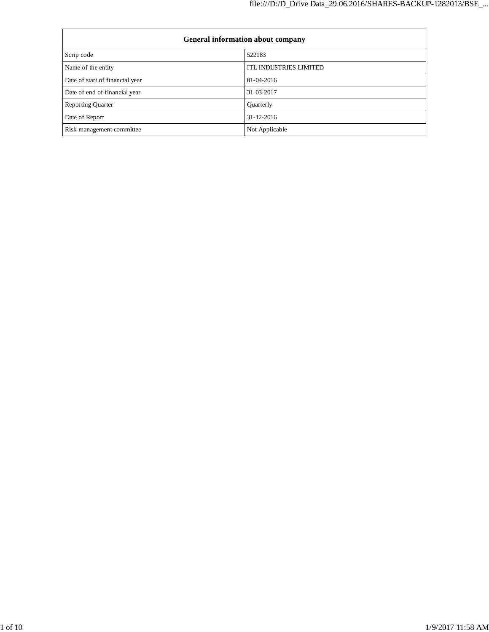| <b>General information about company</b> |                               |  |  |
|------------------------------------------|-------------------------------|--|--|
| Scrip code                               | 522183                        |  |  |
| Name of the entity                       | <b>ITL INDUSTRIES LIMITED</b> |  |  |
| Date of start of financial year          | $01 - 04 - 2016$              |  |  |
| Date of end of financial year            | 31-03-2017                    |  |  |
| <b>Reporting Quarter</b>                 | Quarterly                     |  |  |
| Date of Report                           | $31 - 12 - 2016$              |  |  |
| Risk management committee                | Not Applicable                |  |  |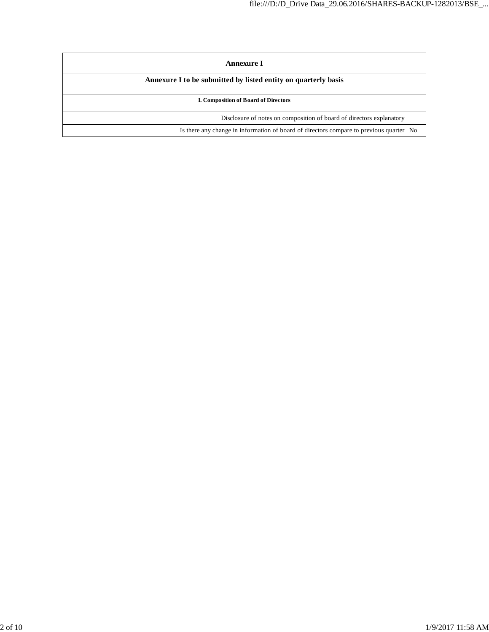| Annexure I                                                                              |  |  |
|-----------------------------------------------------------------------------------------|--|--|
| Annexure I to be submitted by listed entity on quarterly basis                          |  |  |
| <b>I. Composition of Board of Directors</b>                                             |  |  |
| Disclosure of notes on composition of board of directors explanatory                    |  |  |
| Is there any change in information of board of directors compare to previous quarter No |  |  |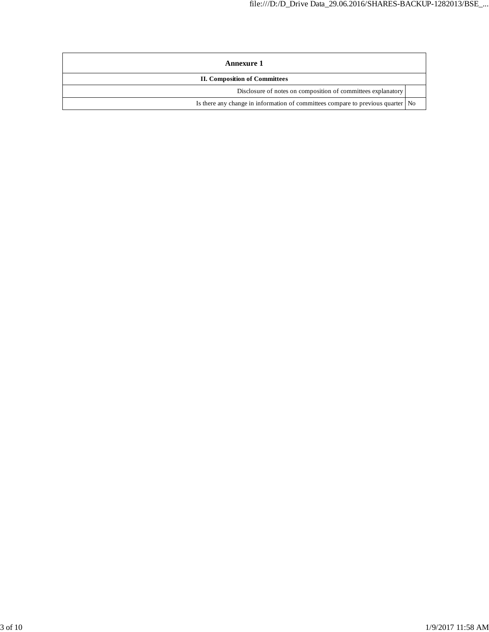| Annexure 1                                                                        |  |  |
|-----------------------------------------------------------------------------------|--|--|
| <b>II. Composition of Committees</b>                                              |  |  |
| Disclosure of notes on composition of committees explanatory                      |  |  |
| Is there any change in information of committees compare to previous quarter   No |  |  |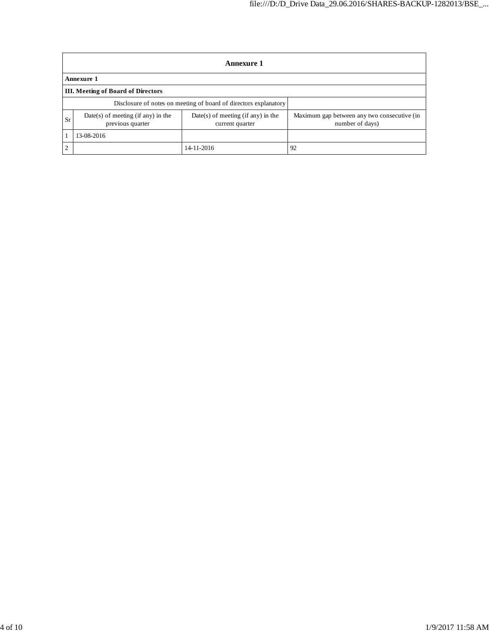|                                                                  | <b>Annexure 1</b>                                      |                                                         |                                                                |  |  |
|------------------------------------------------------------------|--------------------------------------------------------|---------------------------------------------------------|----------------------------------------------------------------|--|--|
|                                                                  | Annexure 1                                             |                                                         |                                                                |  |  |
|                                                                  | <b>III.</b> Meeting of Board of Directors              |                                                         |                                                                |  |  |
| Disclosure of notes on meeting of board of directors explanatory |                                                        |                                                         |                                                                |  |  |
| Sr                                                               | Date(s) of meeting (if any) in the<br>previous quarter | $Date(s)$ of meeting (if any) in the<br>current quarter | Maximum gap between any two consecutive (in<br>number of days) |  |  |
|                                                                  | 13-08-2016                                             |                                                         |                                                                |  |  |
| $\mathcal{L}$                                                    |                                                        | 14-11-2016                                              | 92                                                             |  |  |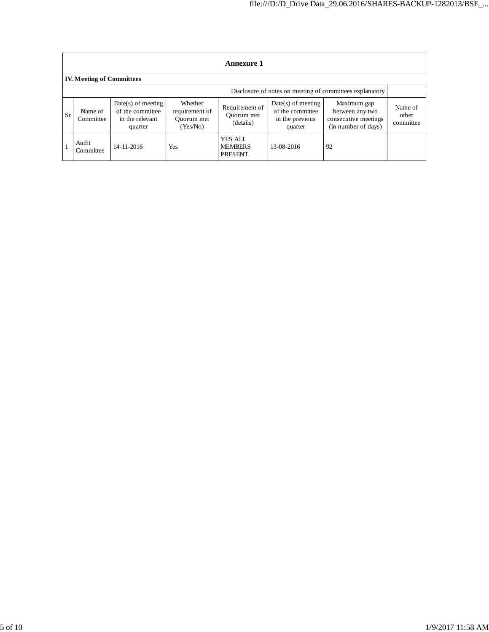|                                  | <b>Annexure 1</b>                                        |                                                                        |                                                     |                                             |                                                                        |                                                                               |                               |
|----------------------------------|----------------------------------------------------------|------------------------------------------------------------------------|-----------------------------------------------------|---------------------------------------------|------------------------------------------------------------------------|-------------------------------------------------------------------------------|-------------------------------|
| <b>IV. Meeting of Committees</b> |                                                          |                                                                        |                                                     |                                             |                                                                        |                                                                               |                               |
|                                  | Disclosure of notes on meeting of committees explanatory |                                                                        |                                                     |                                             |                                                                        |                                                                               |                               |
| <b>Sr</b>                        | Name of<br>Committee                                     | $Date(s)$ of meeting<br>of the committee<br>in the relevant<br>quarter | Whether<br>requirement of<br>Ouorum met<br>(Yes/No) | Requirement of<br>Ouorum met<br>(details)   | $Date(s)$ of meeting<br>of the committee<br>in the previous<br>quarter | Maximum gap<br>between any two<br>consecutive meetings<br>(in number of days) | Name of<br>other<br>committee |
|                                  | Audit<br>Committee                                       | 14-11-2016                                                             | Yes                                                 | YES ALL<br><b>MEMBERS</b><br><b>PRESENT</b> | 13-08-2016                                                             | 92                                                                            |                               |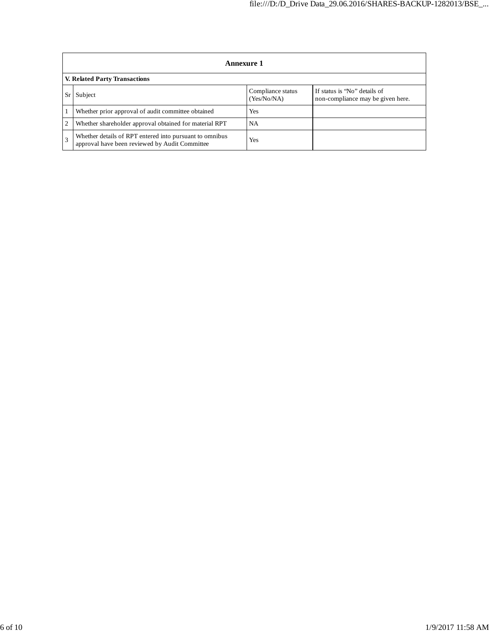|    | Annexure 1                                                                                                |                                  |                                                                   |  |
|----|-----------------------------------------------------------------------------------------------------------|----------------------------------|-------------------------------------------------------------------|--|
|    | <b>V. Related Party Transactions</b>                                                                      |                                  |                                                                   |  |
| Sr | Subject                                                                                                   | Compliance status<br>(Yes/No/NA) | If status is "No" details of<br>non-compliance may be given here. |  |
|    | Whether prior approval of audit committee obtained                                                        | Yes                              |                                                                   |  |
| 2  | Whether shareholder approval obtained for material RPT                                                    | <b>NA</b>                        |                                                                   |  |
|    | Whether details of RPT entered into pursuant to omnibus<br>approval have been reviewed by Audit Committee | Yes                              |                                                                   |  |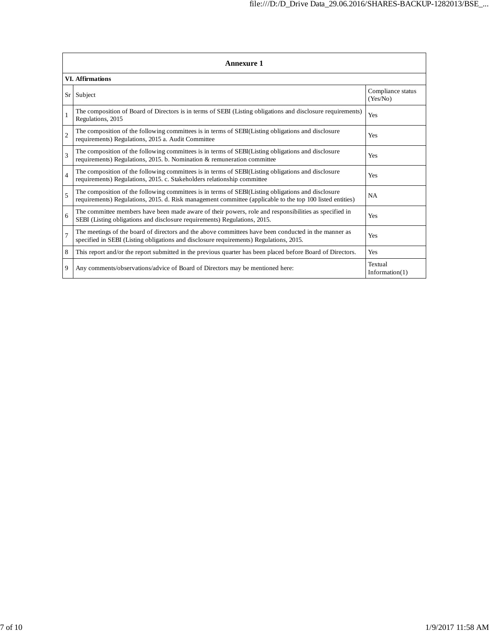|                | <b>Annexure 1</b>                                                                                                                                                                                               |                               |  |  |  |
|----------------|-----------------------------------------------------------------------------------------------------------------------------------------------------------------------------------------------------------------|-------------------------------|--|--|--|
|                | <b>VI. Affirmations</b>                                                                                                                                                                                         |                               |  |  |  |
| Sr             | Subject                                                                                                                                                                                                         | Compliance status<br>(Yes/No) |  |  |  |
| $\mathbf{1}$   | The composition of Board of Directors is in terms of SEBI (Listing obligations and disclosure requirements)<br>Regulations, 2015                                                                                | Yes                           |  |  |  |
| $\overline{2}$ | The composition of the following committees is in terms of SEBI(Listing obligations and disclosure<br>requirements) Regulations, 2015 a. Audit Committee                                                        | Yes                           |  |  |  |
| $\overline{3}$ | The composition of the following committees is in terms of SEBI(Listing obligations and disclosure<br>requirements) Regulations, 2015. b. Nomination & remuneration committee                                   | Yes                           |  |  |  |
| $\overline{4}$ | The composition of the following committees is in terms of SEBI(Listing obligations and disclosure<br>requirements) Regulations, 2015. c. Stakeholders relationship committee                                   | Yes                           |  |  |  |
| $\overline{5}$ | The composition of the following committees is in terms of SEBI(Listing obligations and disclosure<br>requirements) Regulations, 2015. d. Risk management committee (applicable to the top 100 listed entities) | <b>NA</b>                     |  |  |  |
| 6              | The committee members have been made aware of their powers, role and responsibilities as specified in<br>SEBI (Listing obligations and disclosure requirements) Regulations, 2015.                              | Yes                           |  |  |  |
| $\overline{7}$ | The meetings of the board of directors and the above committees have been conducted in the manner as<br>specified in SEBI (Listing obligations and disclosure requirements) Regulations, 2015.                  | Yes                           |  |  |  |
| 8              | This report and/or the report submitted in the previous quarter has been placed before Board of Directors.                                                                                                      | Yes                           |  |  |  |
| 9              | Any comments/observations/advice of Board of Directors may be mentioned here:                                                                                                                                   | Textual<br>Information(1)     |  |  |  |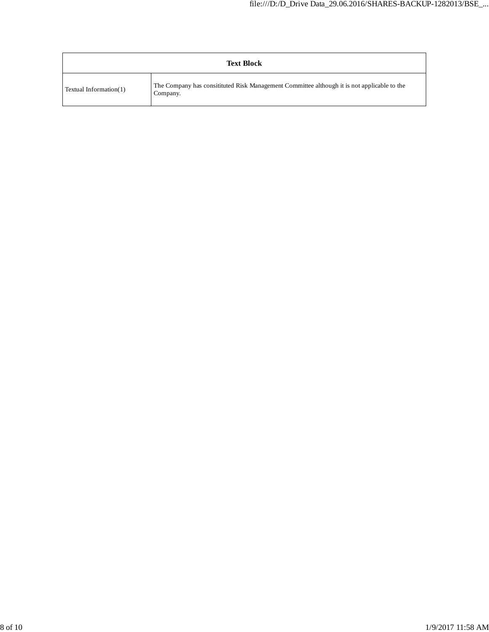| <b>Text Block</b>      |                                                                                                         |  |
|------------------------|---------------------------------------------------------------------------------------------------------|--|
| Textual Information(1) | The Company has consitituted Risk Management Committee although it is not applicable to the<br>Company. |  |